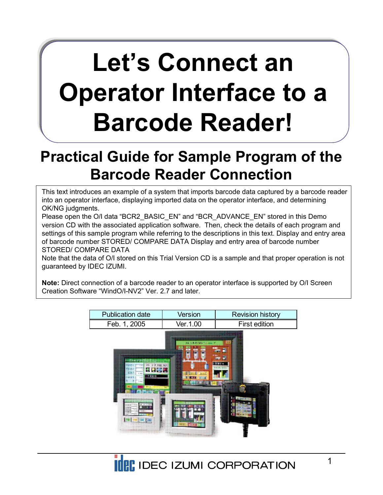# **Let's Connect an Operator Interface to a Barcode Reader!**

# **Practical Guide for Sample Program of the Barcode Reader Connection**

This text introduces an example of a system that imports barcode data captured by a barcode reader into an operator interface, displaying imported data on the operator interface, and determining OK/NG judgments.

Please open the O/I data "BCR2\_BASIC\_EN" and "BCR\_ADVANCE\_EN" stored in this Demo version CD with the associated application software. Then, check the details of each program and settings of this sample program while referring to the descriptions in this text. Display and entry area of barcode number STORED/ COMPARE DATA Display and entry area of barcode number STORED/ COMPARE DATA

Note that the data of O/I stored on this Trial Version CD is a sample and that proper operation is not guaranteed by IDEC IZUMI.

**Note:** Direct connection of a barcode reader to an operator interface is supported by O/I Screen Creation Software "WindO/I-NV2" Ver. 2.7 and later

| <b>Publication date</b> | Version   | <b>Revision history</b> |
|-------------------------|-----------|-------------------------|
| Feb. 1, 2005            | Ver.1.00. | First edition           |
|                         |           |                         |



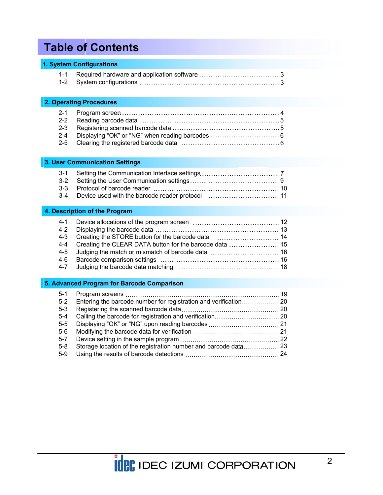# **Table of Contents**

#### **1. System Configurations**

#### **2. Operating Procedures**

#### **3. User Communication Settings**

#### **4. Description of the Program**

#### **5. Advanced Program for Barcode Comparison**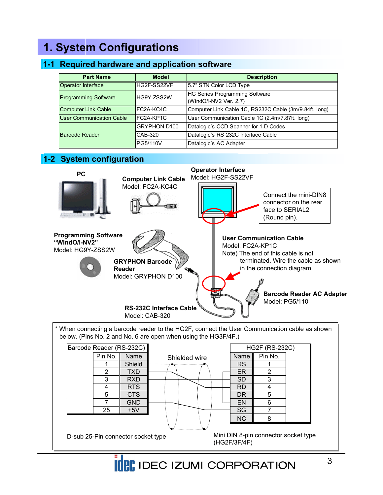# **1. System Configurations**

### **1-1 Required hardware and application software**

| <b>Part Name</b>                                                                                      | <b>Model</b>        | <b>Description</b>                                     |
|-------------------------------------------------------------------------------------------------------|---------------------|--------------------------------------------------------|
| Operator Interface                                                                                    | HG2F-SS22VF         | 5.7" STN Color LCD Type                                |
| HG Series Programming Software<br><b>Programming Software</b><br>HG9Y-ZSS2W<br>(WindO/I-NV2 Ver. 2.7) |                     |                                                        |
| <b>Computer Link Cable</b>                                                                            | FC2A-KC4C           | Computer Link Cable 1C, RS232C Cable (3m/9.84ft. long) |
| <b>User Communication Cable</b>                                                                       | FC2A-KP1C           | User Communication Cable 1C (2.4m/7.87ft. long)        |
|                                                                                                       | <b>GRYPHON D100</b> | Datalogic's CCD Scanner for 1-D Codes                  |
| Barcode Reader                                                                                        | CAB-320             | Datalogic's RS 232C Interface Cable                    |
|                                                                                                       | PG5/110V            | Datalogic's AC Adapter                                 |

### **1-2 System configuration**



D-sub 25-Pin connector socket type Mini DIN 8-pin<br>(HG2F/3F/4F)

Mini DIN 8-pin connector socket type

 25 +5V SG 7 NC 8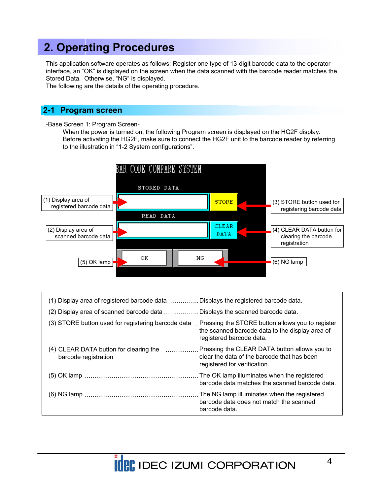### **2. Operating Procedures**

This application software operates as follows: Register one type of 13-digit barcode data to the operator interface, an "OK" is displayed on the screen when the data scanned with the barcode reader matches the Stored Data. Otherwise, "NG" is displayed.

The following are the details of the operating procedure.

#### **2-1 Program screen**

-Base Screen 1: Program Screen-

When the power is turned on, the following Program screen is displayed on the HG2F display. Before activating the HG2F, make sure to connect the HG2F unit to the barcode reader by referring to the illustration in "1-2 System configurations".



| (1) Display area of registered barcode data Displays the registered barcode data.                            |                                                                                                                                 |
|--------------------------------------------------------------------------------------------------------------|---------------------------------------------------------------------------------------------------------------------------------|
| (2) Display area of scanned barcode data  Displays the scanned barcode data.                                 |                                                                                                                                 |
| (3) STORE button used for registering barcode data                                                           | Pressing the STORE button allows you to register<br>the scanned barcode data to the display area of<br>registered barcode data. |
| (4) CLEAR DATA button for clearing the  Pressing the CLEAR DATA button allows you to<br>barcode registration | clear the data of the barcode that has been<br>registered for verification.                                                     |
|                                                                                                              | barcode data matches the scanned barcode data.                                                                                  |
|                                                                                                              | The NG lamp illuminates when the registered<br>barcode data does not match the scanned<br>barcode data.                         |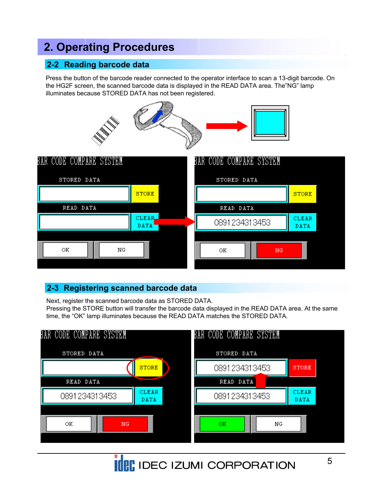# **2. Operating Procedures**

### **2-2 Reading barcode data**

Press the button of the barcode reader connected to the operator interface to scan a 13-digit barcode. On the HG2F screen, the scanned barcode data is displayed in the READ DATA area. The"NG" lamp illuminates because STORED DATA has not been registered.



#### **2-3 Registering scanned barcode data**

Next, register the scanned barcode data as STORED DATA.

Pressing the STORE button will transfer the barcode data displayed in the READ DATA area. At the same time, the "OK" lamp illuminates because the READ DATA matches the STORED DATA.

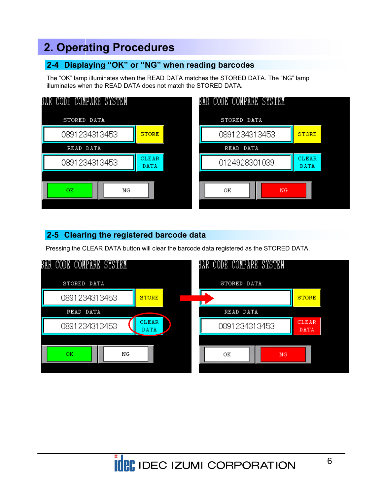# **2. Operating Procedures**

### **2-4 Displaying "OK" or "NG" when reading barcodes**

The "OK" lamp illuminates when the READ DATA matches the STORED DATA. The "NG" lamp illuminates when the READ DATA does not match the STORED DATA.



### **2-5 Clearing the registered barcode data**

Pressing the CLEAR DATA button will clear the barcode data registered as the STORED DATA.

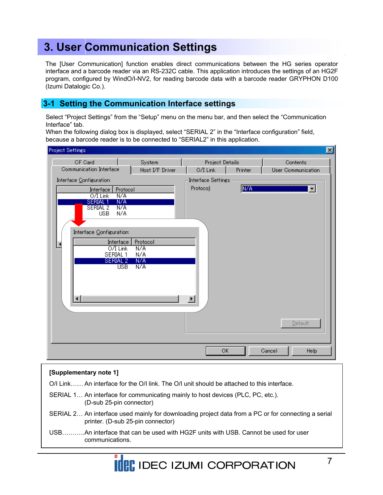The [User Communication] function enables direct communications between the HG series operator interface and a barcode reader via an RS-232C cable. This application introduces the settings of an HG2F program, configured by WindO/I-NV2, for reading barcode data with a barcode reader GRYPHON D100 (Izumi Datalogic Co.).

#### **3-1 Setting the Communication Interface settings**

Select "Project Settings" from the "Setup" menu on the menu bar, and then select the "Communication Interface" tab.

When the following dialog box is displayed, select "SERIAL 2" in the "Interface configuration" field, because a barcode reader is to be connected to "SERIAL2" in this application.

| <b>Project Settings</b>                                                                                                                                                                                                                                      |                                      |                                    |            |                                | $\vert x \vert$ |
|--------------------------------------------------------------------------------------------------------------------------------------------------------------------------------------------------------------------------------------------------------------|--------------------------------------|------------------------------------|------------|--------------------------------|-----------------|
| <b>CF Card</b><br>Communication Interface                                                                                                                                                                                                                    | System<br>Host I/F Driver            | Project Details<br>O/I Link        | Printer    | Contents<br>User Communication |                 |
| Interface Configuration:                                                                                                                                                                                                                                     |                                      | Interface Settings-                |            |                                |                 |
| Interface<br>Protocol<br>$\overline{\text{NA}}$<br>$O/I$ Link<br>N/A<br><b>SERIAL1</b><br>SERIAL <sub>2</sub><br>$\overline{\text{NA}}$<br><b>USB</b><br>N/A<br>Interface Configuration:<br>Interface<br>0/I Link<br>SERIAL 1<br>SERIAL 2<br><b>USB</b><br>⊣ | Protocol<br>N/A<br>N/A<br>N/A<br>N/A | Protocol:<br>$\blacktriangleright$ | <b>NZA</b> | ▼<br>Default                   |                 |
|                                                                                                                                                                                                                                                              |                                      | ОK                                 |            | <b>Help</b><br>Cancel          |                 |

#### **[Supplementary note 1]**

O/I Link…… An interface for the O/I link. The O/I unit should be attached to this interface.

- SERIAL 1… An interface for communicating mainly to host devices (PLC, PC, etc.). (D-sub 25-pin connector)
- SERIAL 2… An interface used mainly for downloading project data from a PC or for connecting a serial printer. (D-sub 25-pin connector)
- USB………..An interface that can be used with HG2F units with USB. Cannot be used for user communications.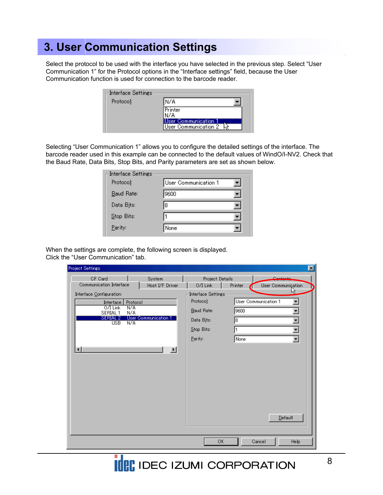Select the protocol to be used with the interface you have selected in the previous step. Select "User Communication 1" for the Protocol options in the "Interface settings" field, because the User Communication function is used for connection to the barcode reader.

| <b>Interface Settings</b> |                                                   |
|---------------------------|---------------------------------------------------|
| Protocol:                 | N/A                                               |
|                           | .Printer                                          |
|                           | <b>Jser Communication</b><br>User Communication 2 |

Selecting "User Communication 1" allows you to configure the detailed settings of the interface. The barcode reader used in this example can be connected to the default values of WindO/I-NV2. Check that the Baud Rate, Data Bits, Stop Bits, and Parity parameters are set as shown below.

| Interface Settings |                      |  |
|--------------------|----------------------|--|
| Protocol:          | User Communication 1 |  |
| Baud Rate:         | 19600                |  |
| Data Bits:         | 18                   |  |
| Stop Bits:         |                      |  |
| Parity:            | None                 |  |

When the settings are complete, the following screen is displayed. Click the "User Communication" tab.

| <b>Project Settings</b>                                                                                                                                                                         |                                          |                                                                                                  |                               | $ \mathbf{x} $                                                             |
|-------------------------------------------------------------------------------------------------------------------------------------------------------------------------------------------------|------------------------------------------|--------------------------------------------------------------------------------------------------|-------------------------------|----------------------------------------------------------------------------|
| <b>CF Card</b><br>Communication Interface                                                                                                                                                       | System                                   | Project Details                                                                                  |                               | Contacto                                                                   |
| Interface Configuration:<br>Protocol<br><b>Interface</b><br>$O/I$ Link<br>N/A<br>N/A<br>SERIAL 1<br>SERIAL 2<br><b>User Communication 1</b><br>N/A <sup>T</sup><br><b>USB</b><br>$\blacksquare$ | Host I/F Driver<br>$\blacktriangleright$ | O/I Link<br>Interface Settings<br>Protocol:<br>Baud Rate:<br>Data Bits:<br>Stop Bits:<br>Parity: | Printer<br>9600<br>18<br>None | User Communiçation<br>ŀ۶<br>User Communication 1<br>▼<br>Y<br>Y<br>Default |
|                                                                                                                                                                                                 |                                          | OK                                                                                               |                               | Help<br>Cancel                                                             |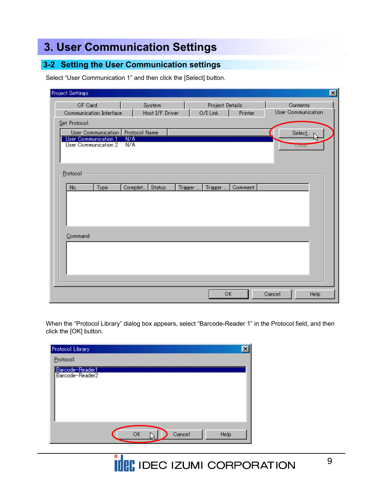### **3-2 Setting the User Communication settings**

Select "User Communication 1" and then click the [Select] button.

| <b>Project Settings</b>                             |                                 |         |                             |         |                                | 図 |
|-----------------------------------------------------|---------------------------------|---------|-----------------------------|---------|--------------------------------|---|
| <b>CF Card</b><br>Communication Interface           | System<br>Host I/F Driver       |         | Project Details<br>O/I Link | Printer | Contents<br>User Communication |   |
| Set Protocol:                                       |                                 |         |                             |         |                                |   |
| User Communication Protocol Name                    |                                 |         |                             |         | Select                         |   |
| <b>User Communication 1</b><br>User Communication 2 | $\overline{\text{NZ}}$ A<br>N/A |         |                             |         | Urear                          |   |
| Protocol                                            |                                 |         |                             |         |                                |   |
| No.<br>Type                                         | Status<br>Complet               | Trigger | Trigger                     | Comment |                                |   |
|                                                     |                                 |         |                             |         |                                |   |
|                                                     |                                 |         |                             |         |                                |   |
|                                                     |                                 |         |                             |         |                                |   |
| Command:                                            |                                 |         |                             |         |                                |   |
|                                                     |                                 |         |                             |         |                                |   |
|                                                     |                                 |         |                             |         |                                |   |
|                                                     |                                 |         |                             |         |                                |   |
|                                                     |                                 |         |                             |         |                                |   |
|                                                     |                                 |         |                             | ОК      | Help<br>Cancel                 |   |

When the "Protocol Library" dialog box appears, select "Barcode-Reader 1" in the Protocol field, and then click the [OK] button.

| Protocol Library                   |    |        |      |
|------------------------------------|----|--------|------|
| Protocol:                          |    |        |      |
| Barcode-Reader1<br>Barcode-Reader2 |    |        |      |
|                                    | OK | Cancel | Help |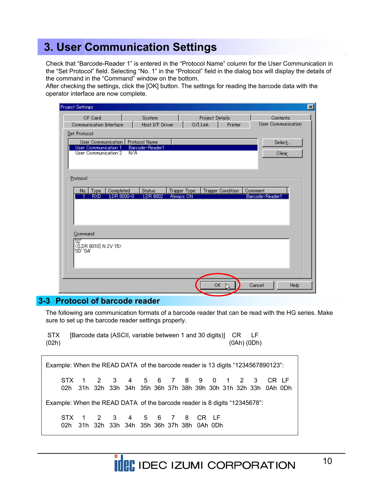Check that "Barcode-Reader 1" is entered in the "Protocol Name" column for the User Communication in the "Set Protocol" field. Selecting "No. 1" in the "Protocol" field in the dialog box will display the details of the command in the "Command" window on the bottom.

After checking the settings, click the [OK] button. The settings for reading the barcode data with the operator interface are now complete.

| <b>Project Settings</b>                      |                           |                             |                          | 図                              |
|----------------------------------------------|---------------------------|-----------------------------|--------------------------|--------------------------------|
| <b>CF Card</b><br>Communication Interface    | System<br>Host I/F Driver | Project Details<br>O/I Link | Printer                  | Contents<br>User Communication |
| Set Protocol:                                |                           |                             |                          |                                |
| User Communication                           | Protocol Name             |                             |                          | Select                         |
| User Communication 1<br>User Communication 2 | Barcode-Reader1<br>N/A    |                             |                          | Clear                          |
| Protocol                                     |                           |                             |                          |                                |
| Completed<br>Type<br>No.                     | <b>Status</b>             | Trigger Type                | <b>Trigger Condition</b> | Comment<br>Barcode-Reader1     |
| LDR 8000-0<br><b>FXD</b>                     | <b>LDR 8002</b>           | Always ON                   |                          |                                |
|                                              |                           |                             |                          |                                |
| Command:                                     |                           |                             |                          |                                |
| "02"<br> <(LDR 8010) N 2V 15><br> '0D' '0A'  |                           |                             |                          |                                |
|                                              |                           |                             |                          |                                |
|                                              |                           |                             |                          |                                |
|                                              |                           |                             | OK.                      | Cancel<br>Help                 |

#### **3-3 Protocol of barcode reader**

The following are communication formats of a barcode reader that can be read with the HG series. Make sure to set up the barcode reader settings properly.

STX [Barcode data (ASCII, variable between 1 and 30 digits)] CR LF (02h) (0Ah) (0Dh)

|                                                                           |  |  |  |                                                                          |  |  |  |  |  |  | Example: When the READ DATA of the barcode reader is 13 digits "1234567890123":                       |  |
|---------------------------------------------------------------------------|--|--|--|--------------------------------------------------------------------------|--|--|--|--|--|--|-------------------------------------------------------------------------------------------------------|--|
|                                                                           |  |  |  |                                                                          |  |  |  |  |  |  | STX 1 2 3 4 5 6 7 8 9 0 1 2 3 CRLF<br>02h 31h 32h 33h 34h 35h 36h 37h 38h 39h 30h 31h 32h 33h 0Ah 0Dh |  |
| Example: When the READ DATA of the barcode reader is 8 digits "12345678": |  |  |  |                                                                          |  |  |  |  |  |  |                                                                                                       |  |
|                                                                           |  |  |  | STX 1 2 3 4 5 6 7 8 CR LF<br>02h 31h 32h 33h 34h 35h 36h 37h 38h 0Ah 0Dh |  |  |  |  |  |  |                                                                                                       |  |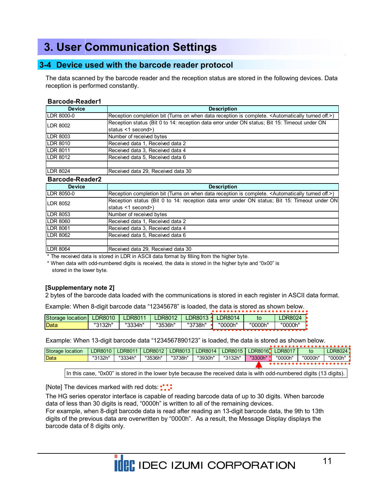#### **3-4 Device used with the barcode reader protocol**

The data scanned by the barcode reader and the reception status are stored in the following devices. Data reception is performed constantly.

#### **Barcode-Reader1**

| <b>Device</b>    | <b>Description</b>                                                                                                      |
|------------------|-------------------------------------------------------------------------------------------------------------------------|
| LDR 8000-0       | (Reception completion bit (Turns on when data reception is complete. <automatically off.="" turned="">)</automatically> |
| LDR 8002         | Reception status (Bit 0 to 14: reception data error under ON status; Bit 15: Timeout under ON                           |
|                  | status <1 second>)                                                                                                      |
| LDR 8003         | Number of received bytes                                                                                                |
| LDR 8010         | Received data 1, Received data 2                                                                                        |
| LDR 8011         | Received data 3, Received data 4                                                                                        |
| LDR 8012         | Received data 5, Received data 6                                                                                        |
|                  |                                                                                                                         |
| <b>ILDR 8024</b> | Received data 29, Received data 30                                                                                      |

#### **Barcode-Reader2**

| <b>Device</b>     | <b>Description</b>                                                                                                     |
|-------------------|------------------------------------------------------------------------------------------------------------------------|
| <b>LDR 8050-0</b> | Reception completion bit (Turns on when data reception is complete. <automatically off.="" turned="">)</automatically> |
| <b>LDR 8052</b>   | Reception status (Bit 0 to 14: reception data error under ON status; Bit 15: Timeout under ON                          |
|                   | status <1 second>)                                                                                                     |
| <b>LDR 8053</b>   | Number of received bytes                                                                                               |
| <b>LDR 8060</b>   | Received data 1, Received data 2                                                                                       |
| <b>LDR 8061</b>   | Received data 3, Received data 4                                                                                       |
| <b>LDR 8062</b>   | Received data 5, Received data 6                                                                                       |
|                   |                                                                                                                        |
| <b>LDR 8064</b>   | Received data 29, Received data 30                                                                                     |

\* The received data is stored in LDR in ASCII data format by filling from the higher byte.

\* When data with odd-numbered digits is received, the data is stored in the higher byte and "0x00" is stored in the lower byte.

#### **[Supplementary note 2]**

2 bytes of the barcode data loaded with the communications is stored in each register in ASCII data format.

Example: When 8-digit barcode data "12345678" is loaded, the data is stored as shown below.

| Storage location | DR8010                       | <b>DR8011</b> | DR8012  | LDR8013 | <b>LDR8014</b> |         | LDR8024 |
|------------------|------------------------------|---------------|---------|---------|----------------|---------|---------|
| Data             | <b>"2120h"</b><br>ا اے ب ا ب | "3334h"       | "3536h" | "3738h" | "0000h"        | "0000h" | "0000h" |
|                  |                              |               |         |         |                |         |         |

Example: When 13-digit barcode data "1234567890123" is loaded, the data is stored as shown below.

| <b>Storage location</b> | LDR8010 | LDR8011 | LDR8012 | LDR8013 | LDR8014 | LDR8015 | LDR8016 | <b>LDR8017</b> | to      | LDR8024' |
|-------------------------|---------|---------|---------|---------|---------|---------|---------|----------------|---------|----------|
| Data                    | "3132h" | "3334h" | "3536h" | "3738h" | "3930h" | "3132h" | "3300h" | "0000h"        | "0000h" | "0000h"  |
|                         |         |         |         |         |         |         |         |                |         |          |

In this case, "0x00" is stored in the lower byte because the received data is with odd-numbered digits (13 digits).

[Note] The devices marked with red dots: ::

The HG series operator interface is capable of reading barcode data of up to 30 digits. When barcode data of less than 30 digits is read, "0000h" is written to all of the remaining devices.

For example, when 8-digit barcode data is read after reading an 13-digit barcode data, the 9th to 13th digits of the previous data are overwritten by "0000h". As a result, the Message Display displays the barcode data of 8 digits only.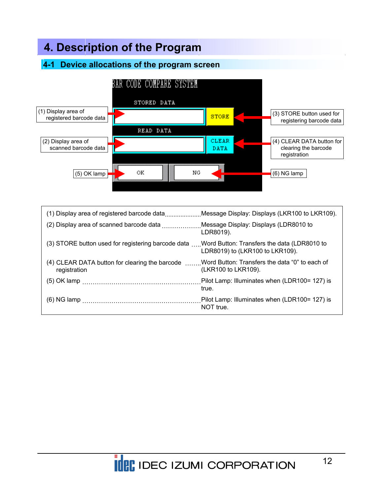### **4-1 Device allocations of the program screen**



| (1) Display area of registered barcode dataMessage Display: Displays (LKR100 to LKR109).                      |                                                            |
|---------------------------------------------------------------------------------------------------------------|------------------------------------------------------------|
| (2) Display area of scanned barcode data Message Display: Displays (LDR8010 to                                | LDR8019).                                                  |
| (3) STORE button used for registering barcode data  Word Button: Transfers the data (LDR8010 to               | LDR8019) to (LKR100 to LKR109).                            |
| (4) CLEAR DATA button for clearing the barcode Word Button: Transfers the data "0" to each of<br>registration | (LKR100 to LKR109).                                        |
|                                                                                                               | Pilot Lamp: Illuminates when (LDR100= 127) is<br>true.     |
|                                                                                                               | Pilot Lamp: Illuminates when (LDR100= 127) is<br>NOT true. |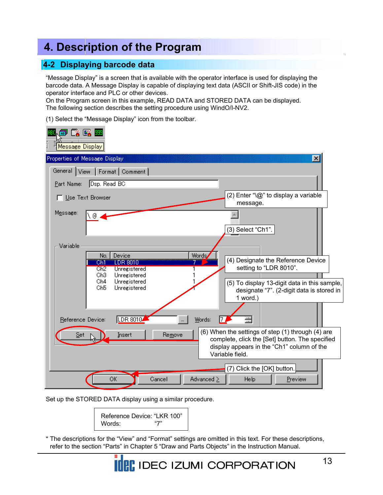#### **4-2 Displaying barcode data**

"Message Display" is a screen that is available with the operator interface is used for displaying the barcode data. A Message Display is capable of displaying text data (ASCII or Shift-JIS code) in the operator interface and PLC or other devices.

On the Program screen in this example, READ DATA and STORED DATA can be displayed. The following section describes the setting procedure using WindO/I-NV2.

(1) Select the "Message Display" icon from the toolbar.

| 12 11<br>Message Display                                  |                                                                                           |
|-----------------------------------------------------------|-------------------------------------------------------------------------------------------|
| Properties of Message Display                             | $\vert x \vert$                                                                           |
| General View<br>Format   Comment                          |                                                                                           |
| Dsp. Read BC<br>Part Name:                                |                                                                                           |
| Use Text Browser                                          | (2) Enter "\@" to display a variable<br>message.                                          |
| Message:<br>\ @                                           |                                                                                           |
|                                                           | (3) Select "Ch1".                                                                         |
| Variable                                                  |                                                                                           |
| Device<br>Words,<br>No.                                   |                                                                                           |
| <b>Chi</b><br>LDR 8010<br>Ch <sub>2</sub><br>Unregistered | (4) Designate the Reference Device<br>setting to "LDR 8010".                              |
| Ch3<br>Unregistered<br>Ch4<br>Unregistered                |                                                                                           |
| Ch5<br>Unregistered                                       | (5) To display 13-digit data in this sample,<br>designate "7". (2-digit data is stored in |
|                                                           | 1 word.)                                                                                  |
| LDR 8010<br>Words:<br>Reference Device:                   |                                                                                           |
|                                                           | (6) When the settings of step (1) through (4) are                                         |
| Remove<br>Insert<br>Set                                   | complete, click the [Set] button. The specified                                           |
|                                                           | display appears in the "Ch1" column of the<br>Variable field.                             |
|                                                           | (7) Click the [OK] button.                                                                |
| OK<br>Advanced $\geq$<br>Cancel                           | Help<br>Preview                                                                           |

Set up the STORED DATA display using a similar procedure.

Reference Device: "LKR 100" Words: "7"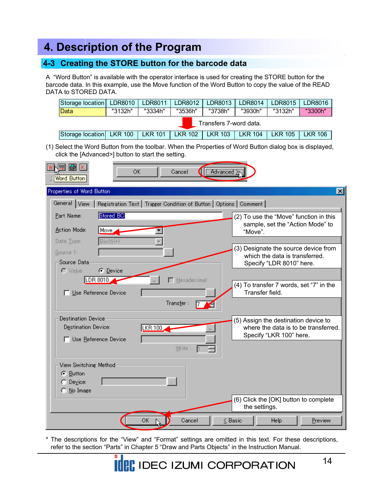#### **4-3 Creating the STORE button for the barcode data**

A "Word Button" is available with the operator interface is used for creating the STORE button for the barcode data. In this example, use the Move function of the Word Button to copy the value of the READ DATA to STORED DATA.

| Storage location   LDR8010 |         | LDR8011   | LDR8012        | LDR8013        | LDR8014        | LDR8015        | LDR8016        |  |
|----------------------------|---------|-----------|----------------|----------------|----------------|----------------|----------------|--|
| Data                       | "3132h" | "3334h"   | "3536h"        | "3738h"        | "3930h"        | "3132h"        | "3300h"        |  |
| Transfers 7-word data.     |         |           |                |                |                |                |                |  |
| Storage location LKR 100   |         | LKR 101 L | <b>LKR 102</b> | <b>LKR 103</b> | <b>LKR 104</b> | <b>LKR 105</b> | <b>LKR 106</b> |  |

(1) Select the Word Button from the toolbar. When the Properties of Word Button dialog box is displayed, click the [Advanced>] button to start the setting.

| 图 KI<br>囤<br>Word Button                                                             |                                                                                 | <b>OK</b>                                                           | Cancel      | Advanced     |         |                                                                                                                                                                                                                                                |         |                 |
|--------------------------------------------------------------------------------------|---------------------------------------------------------------------------------|---------------------------------------------------------------------|-------------|--------------|---------|------------------------------------------------------------------------------------------------------------------------------------------------------------------------------------------------------------------------------------------------|---------|-----------------|
| Properties of Word Button                                                            |                                                                                 |                                                                     |             |              |         |                                                                                                                                                                                                                                                |         | $\vert x \vert$ |
| General View                                                                         |                                                                                 | Registration Text   Trigger Condition of Button   Options   Comment |             |              |         |                                                                                                                                                                                                                                                |         |                 |
| Part Name:<br>Action Mode:<br>Data Type:<br>Source 1:<br>Source Data<br>$\cap$ Value | Stored BC<br>Move<br>$Bin16(+)$<br>C Device<br>LDR 8010<br>Use Reference Device |                                                                     | Hexadecimal |              | "Move". | (2) To use the "Move" function in this<br>sample, set the "Action Mode" to<br>(3) Designate the source device from<br>which the data is transferred.<br>Specify "LDR 8010" here.<br>(4) To transfer 7 words, set "7" in the<br>Transfer field. |         |                 |
|                                                                                      |                                                                                 |                                                                     | Transfer:   |              |         |                                                                                                                                                                                                                                                |         |                 |
| Destination Device<br>Destination Device:                                            | Use Reference Device                                                            | LKR 100                                                             | Write:      |              |         | (5) Assign the destination device to<br>where the data is to be transferred.<br>Specify "LKR 100" here.                                                                                                                                        |         |                 |
| View Switching Method<br>C Button<br>$\bigcap$ Device:<br>No Image<br>o              |                                                                                 |                                                                     |             |              |         | (6) Click the [OK] button to complete<br>the settings.                                                                                                                                                                                         |         |                 |
|                                                                                      |                                                                                 | OK                                                                  | Cancel      | $\leq$ Basic |         | Help                                                                                                                                                                                                                                           | Preview |                 |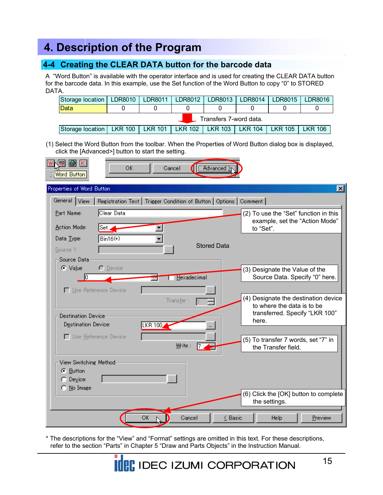### **4-4 Creating the CLEAR DATA button for the barcode data**

A "Word Button" is available with the operator interface and is used for creating the CLEAR DATA button for the barcode data. In this example, use the Set function of the Word Button to copy "0" to STORED DATA.

| Storage location                                                                       |  | LDR8010   LDR8011 | LDR8012 |  | LDR8013   LDR8014   LDR8015 |  | LDR8016 |  |  |
|----------------------------------------------------------------------------------------|--|-------------------|---------|--|-----------------------------|--|---------|--|--|
| <b>IData</b>                                                                           |  |                   |         |  |                             |  |         |  |  |
| Transfers 7-word data.                                                                 |  |                   |         |  |                             |  |         |  |  |
| Storage location   LKR 100   LKR 101   LKR 102   LKR 103   LKR 104   LKR 105   LKR 106 |  |                   |         |  |                             |  |         |  |  |

(1) Select the Word Button from the toolbar. When the Properties of Word Button dialog box is displayed, click the [Advanced>] button to start the setting.

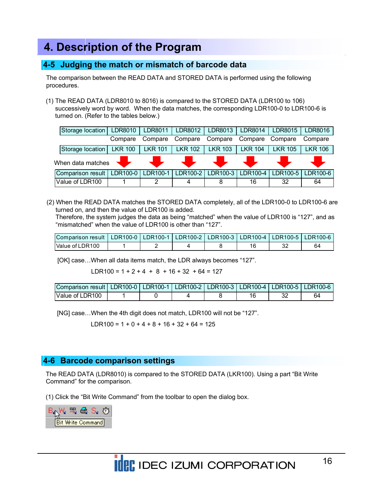#### **4-5 Judging the match or mismatch of barcode data**

The comparison between the READ DATA and STORED DATA is performed using the following procedures.

(1) The READ DATA (LDR8010 to 8016) is compared to the STORED DATA (LDR100 to 106) successively word by word. When the data matches, the corresponding LDR100-0 to LDR100-6 is turned on. (Refer to the tables below.)

| Storage location  | LDR8010           | LDR8011             | LDR8012        | LDR8013        | LDR8014        | LDR8015        | LDR8016        |
|-------------------|-------------------|---------------------|----------------|----------------|----------------|----------------|----------------|
|                   | Compare           | Compare             | Compare        | Compare        | Compare        | Compare        | Compare        |
| Storage location  | <b>LKR 100</b>    | <b>LKR 101</b>      | <b>LKR 102</b> | <b>LKR 103</b> | <b>LKR 104</b> | <b>LKR 105</b> | <b>LKR 106</b> |
|                   | When data matches |                     |                |                |                |                |                |
|                   |                   |                     |                |                |                |                |                |
| Comparison result |                   | LDR100-0   LDR100-1 | LDR100-2       | LDR100-3       | LDR100-4       | LDR100-5       | LDR100-6       |

(2) When the READ DATA matches the STORED DATA completely, all of the LDR100-0 to LDR100-6 are turned on, and then the value of LDR100 is added.

Therefore, the system judges the data as being "matched" when the value of LDR100 is "127", and as "mismatched" when the value of LDR100 is other than "127".

| Comparison result II | LDR100-0 LDR100-1 LDR100-2 LDR100-3 L |  | LDR100-4 |   | LDR100-5 LDR100-6 |
|----------------------|---------------------------------------|--|----------|---|-------------------|
| Value of LDR100      |                                       |  |          | ັ | 64                |

[OK] case…When all data items match, the LDR always becomes "127".

LDR100 =  $1 + 2 + 4 + 8 + 16 + 32 + 64 = 127$ 

| Comparison result   LDR100-0   LDR100-1   LDR100-2   LDR100-3   LDR100-4   LDR100-5   LDR100-6 |  |  |    |    |
|------------------------------------------------------------------------------------------------|--|--|----|----|
| Value of LDR100                                                                                |  |  | ےں | 64 |

[NG] case…When the 4th digit does not match, LDR100 will not be "127".

LDR100 =  $1 + 0 + 4 + 8 + 16 + 32 + 64 = 125$ 

#### **4-6 Barcode comparison settings**

The READ DATA (LDR8010) is compared to the STORED DATA (LKR100). Using a part "Bit Write Command" for the comparison.

(1) Click the "Bit Write Command" from the toolbar to open the dialog box.

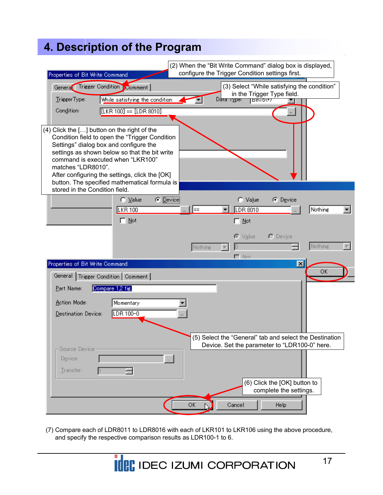| Properties of Bit Write Command                                                                                                                  |                                                                                                                                                                                                    |         | (2) When the "Bit Write Command" dialog box is displayed,<br>configure the Trigger Condition settings first. |                                                        |         |  |
|--------------------------------------------------------------------------------------------------------------------------------------------------|----------------------------------------------------------------------------------------------------------------------------------------------------------------------------------------------------|---------|--------------------------------------------------------------------------------------------------------------|--------------------------------------------------------|---------|--|
| Genera Trigger Condition Comment                                                                                                                 |                                                                                                                                                                                                    |         | (3) Select "While satisfying the condition"                                                                  | in the Trigger Type field.                             |         |  |
| TriggerType:                                                                                                                                     | While satisfying the condition                                                                                                                                                                     |         | Data туре:<br>Bin16(+)                                                                                       |                                                        |         |  |
| Condition:                                                                                                                                       | $[LKR 100] == [LDR 8010]$                                                                                                                                                                          |         |                                                                                                              |                                                        |         |  |
| (4) Click the [] button on the right of the<br>Settings" dialog box and configure the<br>command is executed when "LKR100"<br>matches "LDR8010". | Condition field to open the "Trigger Condition<br>settings as shown below so that the bit write<br>After configuring the settings, click the [OK]<br>button. The specified mathematical formula is |         |                                                                                                              |                                                        |         |  |
| stored in the Condition field.                                                                                                                   | $\bullet$ Device<br>$\bigcap \text{Value}$<br>LKR 100<br>$\Box$ Not                                                                                                                                | ║═      | C Value<br>LDR 8010<br>Not                                                                                   | C Device                                               | Nothing |  |
|                                                                                                                                                  |                                                                                                                                                                                                    | Nothing | $\bullet$ Value<br>$\Gamma$ Not                                                                              | $\cap$ Device                                          | Nothing |  |
| Properties of Bit Write Command<br>General                                                                                                       | Trigger Condition   Comment                                                                                                                                                                        |         |                                                                                                              | $\vert x \vert$                                        | OK      |  |
| Part Name:                                                                                                                                       | Compare 1,2 fig.                                                                                                                                                                                   |         |                                                                                                              |                                                        |         |  |
| Action Mode:                                                                                                                                     | Momentary                                                                                                                                                                                          |         |                                                                                                              |                                                        |         |  |
| Destination Device:                                                                                                                              | LDR 100-0                                                                                                                                                                                          |         |                                                                                                              |                                                        |         |  |
|                                                                                                                                                  |                                                                                                                                                                                                    |         | (5) Select the "General" tab and select the Destination                                                      |                                                        |         |  |
| Source Device                                                                                                                                    |                                                                                                                                                                                                    |         | Device. Set the parameter to "LDR100-0" here.                                                                |                                                        |         |  |
| Device:<br>Transfer:                                                                                                                             | $\sim$                                                                                                                                                                                             |         |                                                                                                              |                                                        |         |  |
|                                                                                                                                                  |                                                                                                                                                                                                    |         |                                                                                                              | (6) Click the [OK] button to<br>complete the settings. |         |  |
|                                                                                                                                                  |                                                                                                                                                                                                    | ОК      | Cancel                                                                                                       | Help                                                   |         |  |

(7) Compare each of LDR8011 to LDR8016 with each of LKR101 to LKR106 using the above procedure, and specify the respective comparison results as LDR100-1 to 6.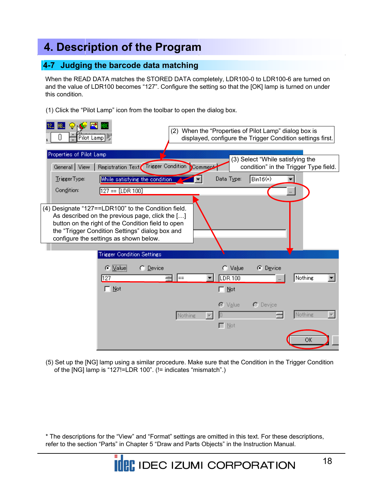#### **4-7 Judging the barcode data matching**

When the READ DATA matches the STORED DATA completely, LDR100-0 to LDR100-6 are turned on and the value of LDR100 becomes "127". Configure the setting so that the [OK] lamp is turned on under this condition.

(1) Click the "Pilot Lamp" icon from the toolbar to open the dialog box.



(5) Set up the [NG] lamp using a similar procedure. Make sure that the Condition in the Trigger Condition of the [NG] lamp is "127!=LDR 100". (!= indicates "mismatch".)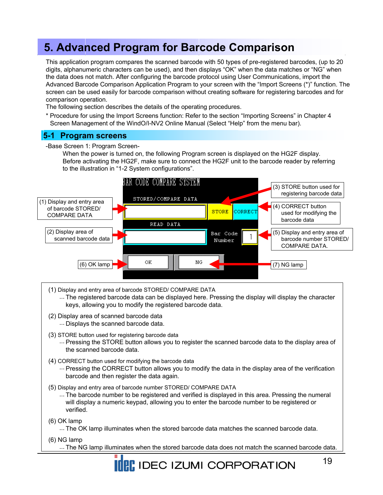This application program compares the scanned barcode with 50 types of pre-registered barcodes, (up to 20 digits, alphanumeric characters can be used), and then displays "OK" when the data matches or "NG" when the data does not match. After configuring the barcode protocol using User Communications, import the Advanced Barcode Comparison Application Program to your screen with the "Import Screens (\*)" function. The screen can be used easily for barcode comparison without creating software for registering barcodes and for comparison operation.

The following section describes the details of the operating procedures.

\* Procedure for using the Import Screens function: Refer to the section "Importing Screens" in Chapter 4 Screen Management of the WindO/I-NV2 Online Manual (Select "Help" from the menu bar).

#### **5-1 Program screens**

-Base Screen 1: Program Screen-

When the power is turned on, the following Program screen is displayed on the HG2F display. Before activating the HG2F, make sure to connect the HG2F unit to the barcode reader by referring to the illustration in "1-2 System configurations".



- (1) Display and entry area of barcode STORED/ COMPARE DATA
	- ... The registered barcode data can be displayed here. Pressing the display will display the character keys, allowing you to modify the registered barcode data.
- (2) Display area of scanned barcode data ... Displays the scanned barcode data.
- (3) STORE button used for registering barcode data
	- ... Pressing the STORE button allows you to register the scanned barcode data to the display area of the scanned barcode data.
- (4) CORRECT button used for modifying the barcode data
	- ... Pressing the CORRECT button allows you to modify the data in the display area of the verification barcode and then register the data again.
- (5) Display and entry area of barcode number STORED/ COMPARE DATA
	- ... The barcode number to be registered and verified is displayed in this area. Pressing the numeral will display a numeric keypad, allowing you to enter the barcode number to be registered or verified.

(6) OK lamp

- ... The OK lamp illuminates when the stored barcode data matches the scanned barcode data.
- (6) NG lamp
	- ... The NG lamp illuminates when the stored barcode data does not match the scanned barcode data.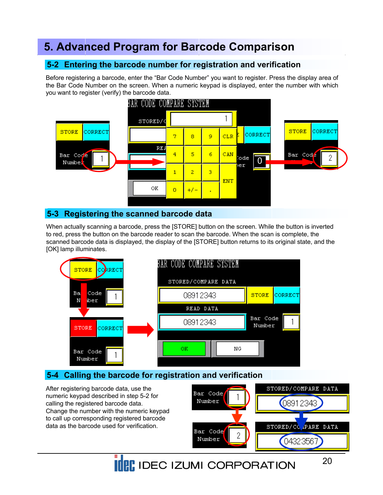### **5-2 Entering the barcode number for registration and verification**

Before registering a barcode, enter the "Bar Code Number" you want to register. Press the display area of the Bar Code Number on the screen. When a numeric keypad is displayed, enter the number with which you want to register (verify) the barcode data.



#### **5-3 Registering the scanned barcode data**

When actually scanning a barcode, press the [STORE] button on the screen. While the button is inverted to red, press the button on the barcode reader to scan the barcode. When the scan is complete, the scanned barcode data is displayed, the display of the [STORE] button returns to its original state, and the [OK] lamp illuminates.



### **5-4 Calling the barcode for registration and verification**

After registering barcode data, use the numeric keypad described in step 5-2 for calling the registered barcode data. Change the number with the numeric keypad to call up corresponding registered barcode data as the barcode used for verification.



**IDEC IZUMI CORPORATION**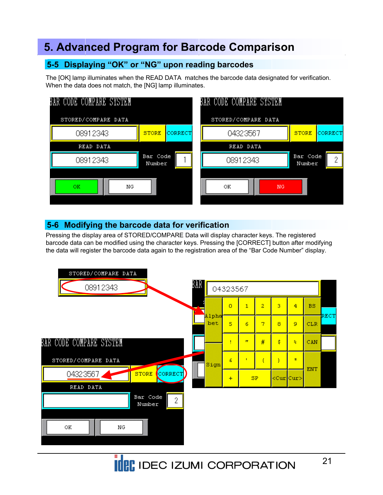### **5-5 Displaying "OK" or "NG" upon reading barcodes**

The [OK] lamp illuminates when the READ DATA matches the barcode data designated for verification. When the data does not match, the [NG] lamp illuminates.



### **5-6 Modifying the barcode data for verification**

Pressing the display area of STORED/COMPARE Data will display character keys. The registered barcode data can be modified using the character keys. Pressing the [CORRECT] button after modifying the data will register the barcode data again to the registration area of the "Bar Code Number" display.

![](_page_20_Figure_6.jpeg)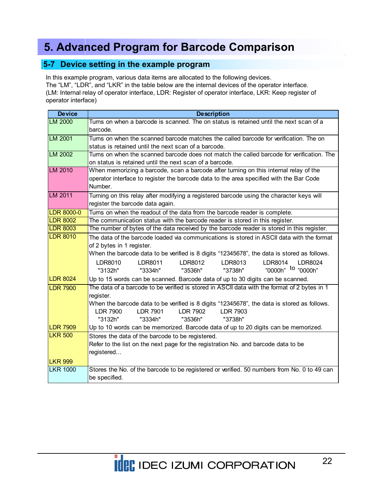#### **5-7 Device setting in the example program**

In this example program, various data items are allocated to the following devices.

The "LM", "LDR", and "LKR" in the table below are the internal devices of the operator interface. (LM: Internal relay of operator interface, LDR: Register of operator interface, LKR: Keep register of operator interface)

| <b>Device</b>     | <b>Description</b>                                                                                 |  |  |  |  |  |  |  |  |  |  |
|-------------------|----------------------------------------------------------------------------------------------------|--|--|--|--|--|--|--|--|--|--|
| LM 2000           | Turns on when a barcode is scanned. The on status is retained until the next scan of a<br>barcode. |  |  |  |  |  |  |  |  |  |  |
| LM 2001           | Turns on when the scanned barcode matches the called barcode for verification. The on              |  |  |  |  |  |  |  |  |  |  |
|                   | status is retained until the next scan of a barcode.                                               |  |  |  |  |  |  |  |  |  |  |
| LM 2002           | Turns on when the scanned barcode does not match the called barcode for verification. The          |  |  |  |  |  |  |  |  |  |  |
|                   | on status is retained until the next scan of a barcode.                                            |  |  |  |  |  |  |  |  |  |  |
| LM 2010           | When memorizing a barcode, scan a barcode after turning on this internal relay of the              |  |  |  |  |  |  |  |  |  |  |
|                   | operator interface to register the barcode data to the area specified with the Bar Code<br>Number. |  |  |  |  |  |  |  |  |  |  |
| LM 2011           | Turning on this relay after modifying a registered barcode using the character keys will           |  |  |  |  |  |  |  |  |  |  |
|                   | register the barcode data again.                                                                   |  |  |  |  |  |  |  |  |  |  |
| <b>LDR 8000-0</b> | Turns on when the readout of the data from the barcode reader is complete.                         |  |  |  |  |  |  |  |  |  |  |
| <b>LDR 8002</b>   | The communication status with the barcode reader is stored in this register.                       |  |  |  |  |  |  |  |  |  |  |
| <b>LDR 8003</b>   | The number of bytes of the data received by the barcode reader is stored in this register.         |  |  |  |  |  |  |  |  |  |  |
| <b>LDR 8010</b>   | The data of the barcode loaded via communications is stored in ASCII data with the format          |  |  |  |  |  |  |  |  |  |  |
|                   | of 2 bytes in 1 register.                                                                          |  |  |  |  |  |  |  |  |  |  |
|                   | When the barcode data to be verified is 8 digits "12345678", the data is stored as follows.        |  |  |  |  |  |  |  |  |  |  |
|                   | LDR8013<br>LDR8014    LDR8024<br>LDR8010<br>LDR8012<br>LDR8011                                     |  |  |  |  |  |  |  |  |  |  |
|                   | "0000h" <sup>to</sup> "0000h"<br>"3536h" "3738h"<br>"3132h"<br>"3334h"                             |  |  |  |  |  |  |  |  |  |  |
| <b>LDR 8024</b>   | Up to 15 words can be scanned. Barcode data of up to 30 digits can be scanned.                     |  |  |  |  |  |  |  |  |  |  |
| <b>LDR 7900</b>   | The data of a barcode to be verified is stored in ASCII data with the format of 2 bytes in 1       |  |  |  |  |  |  |  |  |  |  |
|                   | register.                                                                                          |  |  |  |  |  |  |  |  |  |  |
|                   | When the barcode data to be verified is 8 digits "12345678", the data is stored as follows.        |  |  |  |  |  |  |  |  |  |  |
|                   | <b>LDR 7900</b><br><b>LDR 7901</b><br>LDR 7902<br><b>LDR 7903</b>                                  |  |  |  |  |  |  |  |  |  |  |
|                   | "3132h"<br>"3334h"<br>"3536h"<br>"3738h"                                                           |  |  |  |  |  |  |  |  |  |  |
| <b>LDR 7909</b>   | Up to 10 words can be memorized. Barcode data of up to 20 digits can be memorized.                 |  |  |  |  |  |  |  |  |  |  |
| <b>LKR 500</b>    | Stores the data of the barcode to be registered.                                                   |  |  |  |  |  |  |  |  |  |  |
|                   | Refer to the list on the next page for the registration No. and barcode data to be                 |  |  |  |  |  |  |  |  |  |  |
|                   | registered                                                                                         |  |  |  |  |  |  |  |  |  |  |
| <b>LKR 999</b>    |                                                                                                    |  |  |  |  |  |  |  |  |  |  |
| <b>LKR 1000</b>   | Stores the No. of the barcode to be registered or verified. 50 numbers from No. 0 to 49 can        |  |  |  |  |  |  |  |  |  |  |
|                   | be specified.                                                                                      |  |  |  |  |  |  |  |  |  |  |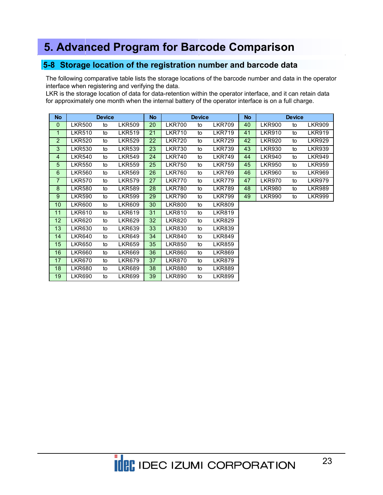#### **5-8 Storage location of the registration number and barcode data**

The following comparative table lists the storage locations of the barcode number and data in the operator interface when registering and verifying the data.

LKR is the storage location of data for data-retention within the operator interface, and it can retain data for approximately one month when the internal battery of the operator interface is on a full charge.

| <b>No</b>       |               | <b>Device</b> |               | No |               | <b>Device</b> |               | No |               | <b>Device</b> |               |
|-----------------|---------------|---------------|---------------|----|---------------|---------------|---------------|----|---------------|---------------|---------------|
| $\mathbf 0$     | <b>LKR500</b> | to            | <b>LKR509</b> | 20 | <b>LKR700</b> | to            | <b>LKR709</b> | 40 | <b>LKR900</b> | to            | <b>LKR909</b> |
| 1               | <b>LKR510</b> | to            | <b>LKR519</b> | 21 | <b>LKR710</b> | to            | <b>LKR719</b> | 41 | <b>LKR910</b> | to            | <b>LKR919</b> |
| $\overline{2}$  | <b>LKR520</b> | to            | <b>LKR529</b> | 22 | <b>LKR720</b> | to            | <b>LKR729</b> | 42 | <b>LKR920</b> | to            | <b>LKR929</b> |
| 3               | <b>LKR530</b> | to            | <b>LKR539</b> | 23 | <b>LKR730</b> | to            | <b>LKR739</b> | 43 | <b>LKR930</b> | to            | <b>LKR939</b> |
| 4               | <b>LKR540</b> | to            | <b>LKR549</b> | 24 | <b>LKR740</b> | to            | <b>LKR749</b> | 44 | <b>LKR940</b> | to            | <b>LKR949</b> |
| 5               | <b>LKR550</b> | to            | <b>LKR559</b> | 25 | <b>LKR750</b> | to            | <b>LKR759</b> | 45 | <b>LKR950</b> | to            | <b>LKR959</b> |
| $6\phantom{1}6$ | <b>LKR560</b> | to            | <b>LKR569</b> | 26 | <b>LKR760</b> | to            | <b>LKR769</b> | 46 | <b>LKR960</b> | to            | <b>LKR969</b> |
| $\overline{7}$  | <b>LKR570</b> | to            | <b>LKR579</b> | 27 | <b>LKR770</b> | to            | <b>LKR779</b> | 47 | <b>LKR970</b> | to            | <b>LKR979</b> |
| 8               | <b>LKR580</b> | to            | <b>LKR589</b> | 28 | <b>LKR780</b> | to            | <b>LKR789</b> | 48 | <b>LKR980</b> | to            | <b>LKR989</b> |
| $9\,$           | <b>LKR590</b> | to            | <b>LKR599</b> | 29 | <b>LKR790</b> | to            | <b>LKR799</b> | 49 | <b>LKR990</b> | to            | <b>LKR999</b> |
| 10              | <b>LKR600</b> | to            | <b>LKR609</b> | 30 | <b>LKR800</b> | to            | <b>LKR809</b> |    |               |               |               |
| 11              | <b>LKR610</b> | to            | <b>LKR619</b> | 31 | <b>LKR810</b> | to            | <b>LKR819</b> |    |               |               |               |
| 12              | <b>LKR620</b> | to            | <b>LKR629</b> | 32 | <b>LKR820</b> | to            | <b>LKR829</b> |    |               |               |               |
| 13              | <b>LKR630</b> | to            | <b>LKR639</b> | 33 | <b>LKR830</b> | to            | <b>LKR839</b> |    |               |               |               |
| 14              | <b>LKR640</b> | to            | <b>LKR649</b> | 34 | <b>LKR840</b> | to            | <b>LKR849</b> |    |               |               |               |
| 15              | <b>LKR650</b> | to            | <b>LKR659</b> | 35 | <b>LKR850</b> | to            | <b>LKR859</b> |    |               |               |               |
| 16              | <b>LKR660</b> | to            | <b>LKR669</b> | 36 | <b>LKR860</b> | to            | <b>LKR869</b> |    |               |               |               |
| 17              | <b>LKR670</b> | to            | <b>LKR679</b> | 37 | <b>LKR870</b> | to            | <b>LKR879</b> |    |               |               |               |
| 18              | <b>LKR680</b> | to            | <b>LKR689</b> | 38 | <b>LKR880</b> | to            | LKR889        |    |               |               |               |
| 19              | <b>LKR690</b> | to            | <b>LKR699</b> | 39 | <b>LKR890</b> | to            | <b>LKR899</b> |    |               |               |               |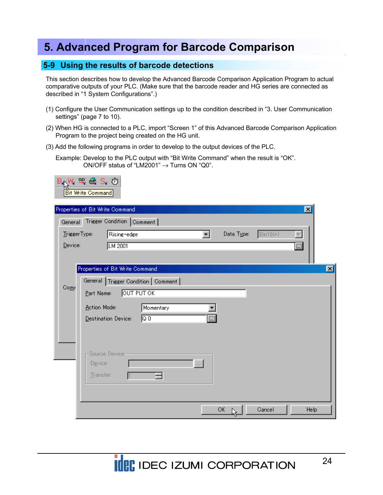#### **5-9 Using the results of barcode detections**

This section describes how to develop the Advanced Barcode Comparison Application Program to actual comparative outputs of your PLC. (Make sure that the barcode reader and HG series are connected as described in "1 System Configurations".)

- (1) Configure the User Communication settings up to the condition described in "3. User Communication settings" (page 7 to 10).
- (2) When HG is connected to a PLC, import "Screen 1" of this Advanced Barcode Comparison Application Program to the project being created on the HG unit.
- (3) Add the following programs in order to develop to the output devices of the PLC.

Example: Develop to the PLC output with "Bit Write Command" when the result is "OK". ON/OFF status of "LM2001"  $\rightarrow$  Turns ON "Q0".

|              | Bay\ ≒e\$S. ۞<br><b>Bit Write Command</b>         |              |
|--------------|---------------------------------------------------|--------------|
|              | Properties of Bit Write Command<br>$ \mathbf{x} $ |              |
|              | General Trigger Condition Comment                 |              |
| TriggerType: | $Bin16(+)$<br>Rising-edge<br>Data Type:<br>▼∣     |              |
| Device:      | $\Box$<br><b>LM 2001</b>                          |              |
|              |                                                   |              |
|              | Properties of Bit Write Command                   | $\mathbf{x}$ |
|              | General   Trigger Condition   Comment             |              |
| Comr         | <b>OUT PUT OK</b><br>Part Name:                   |              |
|              | Action Mode:<br>Momentary                         |              |
|              | <b>E</b><br>০০<br>Destination Device:             |              |
|              |                                                   |              |
|              |                                                   |              |
|              | Source Device-                                    |              |
|              | Device:<br>$\mathbb{Z}^2$                         |              |
|              | Transfer:                                         |              |
|              |                                                   |              |
|              |                                                   |              |
|              | OK.<br>Cancel<br>Help                             |              |